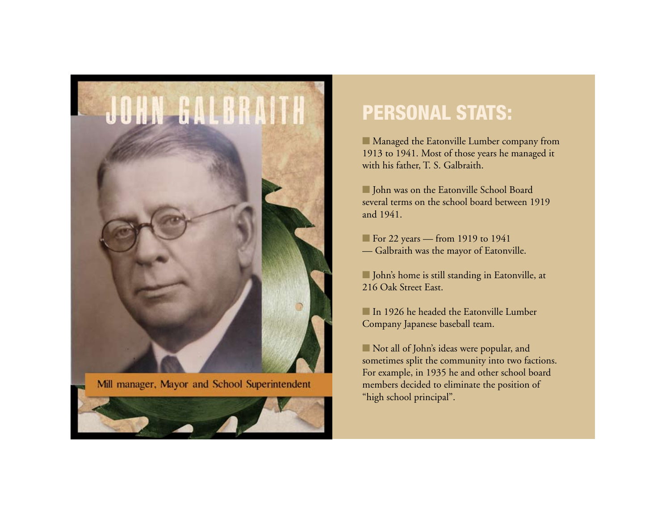

Mill manager, Mayor and School Superintendent



## **PERSONAL STATS:**

■ Managed the Eatonville Lumber company from 1913 to 1941. Most of those years he managed it with his father, T. S. Galbraith.

■ John was on the Eatonville School Board several terms on the school board between 1919 and 1941.

For 22 years — from 1919 to 1941 — Galbraith was the mayor of Eatonville.

**n** John's home is still standing in Eatonville, at 216 Oak Street East.

n In 1926 he headed the Eatonville Lumber Company Japanese baseball team.

n Not all of John's ideas were popular, and sometimes split the community into two factions. For example, in 1935 he and other school board members decided to eliminate the position of "high school principal".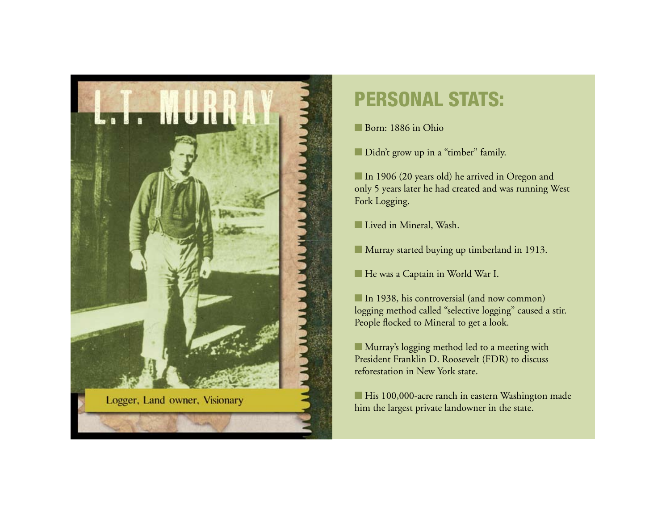

## **PERSONAL STATS:**

Born: 1886 in Ohio

Didn't grow up in a "timber" family.

In 1906 (20 years old) he arrived in Oregon and only 5 years later he had created and was running West Fork Logging.

**Lived in Mineral, Wash.** 

■ Murray started buying up timberland in 1913.

**He was a Captain in World War I.** 

In 1938, his controversial (and now common) logging method called "selective logging" caused a stir. People flocked to Mineral to get a look.

**n** Murray's logging method led to a meeting with President Franklin D. Roosevelt (FDR) to discuss reforestation in New York state.

■ His 100,000-acre ranch in eastern Washington made him the largest private landowner in the state.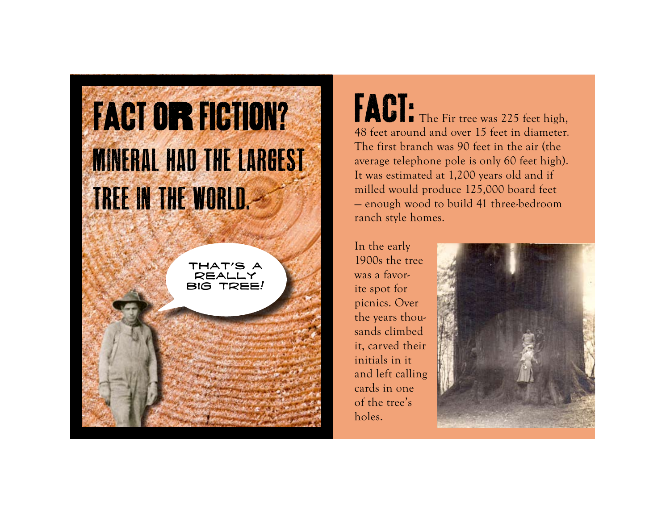## **FACT OR FIGTION? MINERAL HAD THE LARGEST TREE IN THE WORLD.-**

THAT'S A really big tree! FACT: The Fir tree was 225 feet high, 48 feet around and over 15 feet in diameter. The first branch was 90 feet in the air (the average telephone pole is only 60 feet high). It was estimated at 1,200 years old and if milled would produce 125,000 board feet — enough wood to build 41 three-bedroom ranch style homes.

In the early 1900s the tree was a favorite spot for picnics. Over the years thousands climbed it, carved their initials in it and left calling cards in one of the tree's holes.